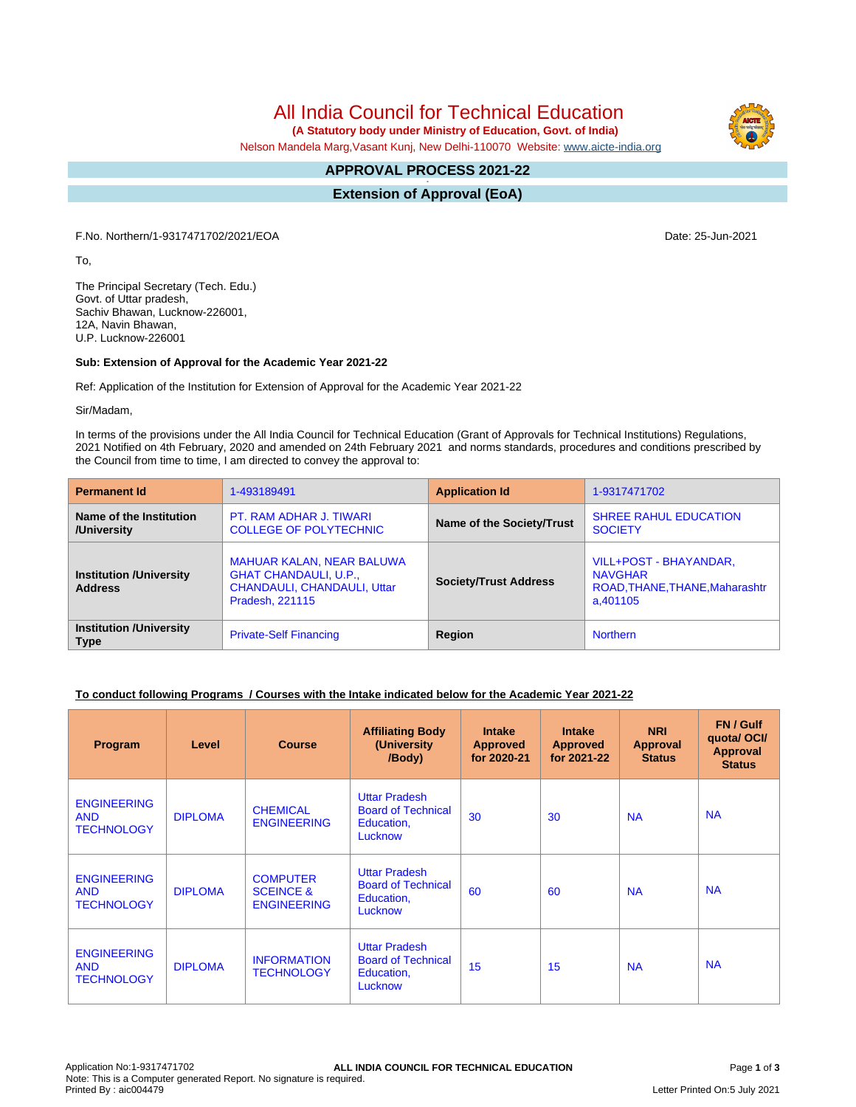All India Council for Technical Education

 **(A Statutory body under Ministry of Education, Govt. of India)**

Nelson Mandela Marg,Vasant Kunj, New Delhi-110070 Website: [www.aicte-india.org](http://www.aicte-india.org)

#### **APPROVAL PROCESS 2021-22 -**

**Extension of Approval (EoA)**

F.No. Northern/1-9317471702/2021/EOA Date: 25-Jun-2021

To,

The Principal Secretary (Tech. Edu.) Govt. of Uttar pradesh, Sachiv Bhawan, Lucknow-226001, 12A, Navin Bhawan, U.P. Lucknow-226001

#### **Sub: Extension of Approval for the Academic Year 2021-22**

Ref: Application of the Institution for Extension of Approval for the Academic Year 2021-22

Sir/Madam,

In terms of the provisions under the All India Council for Technical Education (Grant of Approvals for Technical Institutions) Regulations, 2021 Notified on 4th February, 2020 and amended on 24th February 2021 and norms standards, procedures and conditions prescribed by the Council from time to time, I am directed to convey the approval to:

| <b>Permanent Id</b>                              | 1-493189491                                                                                                               | <b>Application Id</b>        | 1-9317471702                                                                           |  |
|--------------------------------------------------|---------------------------------------------------------------------------------------------------------------------------|------------------------------|----------------------------------------------------------------------------------------|--|
| Name of the Institution<br>/University           | PT. RAM ADHAR J. TIWARI<br><b>COLLEGE OF POLYTECHNIC</b>                                                                  | Name of the Society/Trust    | <b>SHREE RAHUL EDUCATION</b><br><b>SOCIETY</b>                                         |  |
| <b>Institution /University</b><br><b>Address</b> | <b>MAHUAR KALAN, NEAR BALUWA</b><br><b>GHAT CHANDAULI, U.P.,</b><br><b>CHANDAULI, CHANDAULI, Uttar</b><br>Pradesh, 221115 | <b>Society/Trust Address</b> | VILL+POST - BHAYANDAR,<br><b>NAVGHAR</b><br>ROAD, THANE, THANE, Maharashtr<br>a.401105 |  |
| <b>Institution /University</b><br><b>Type</b>    | <b>Private-Self Financing</b>                                                                                             | Region                       | <b>Northern</b>                                                                        |  |

#### **To conduct following Programs / Courses with the Intake indicated below for the Academic Year 2021-22**

| Program                                               | Level          | <b>Course</b>                                                 | <b>Affiliating Body</b><br>(University<br>/Body)                           | <b>Intake</b><br><b>Approved</b><br>for 2020-21 | <b>Intake</b><br><b>Approved</b><br>for 2021-22 | <b>NRI</b><br>Approval<br><b>Status</b> | FN / Gulf<br>quota/OCI/<br><b>Approval</b><br><b>Status</b> |
|-------------------------------------------------------|----------------|---------------------------------------------------------------|----------------------------------------------------------------------------|-------------------------------------------------|-------------------------------------------------|-----------------------------------------|-------------------------------------------------------------|
| <b>ENGINEERING</b><br><b>AND</b><br><b>TECHNOLOGY</b> | <b>DIPLOMA</b> | <b>CHEMICAL</b><br><b>ENGINEERING</b>                         | <b>Uttar Pradesh</b><br><b>Board of Technical</b><br>Education,<br>Lucknow | 30                                              | 30                                              | <b>NA</b>                               | <b>NA</b>                                                   |
| <b>ENGINEERING</b><br><b>AND</b><br><b>TECHNOLOGY</b> | <b>DIPLOMA</b> | <b>COMPUTER</b><br><b>SCEINCE &amp;</b><br><b>ENGINEERING</b> | <b>Uttar Pradesh</b><br><b>Board of Technical</b><br>Education,<br>Lucknow | 60                                              | 60                                              | <b>NA</b>                               | <b>NA</b>                                                   |
| <b>ENGINEERING</b><br><b>AND</b><br><b>TECHNOLOGY</b> | <b>DIPLOMA</b> | <b>INFORMATION</b><br><b>TECHNOLOGY</b>                       | <b>Uttar Pradesh</b><br><b>Board of Technical</b><br>Education,<br>Lucknow | 15                                              | 15                                              | <b>NA</b>                               | <b>NA</b>                                                   |

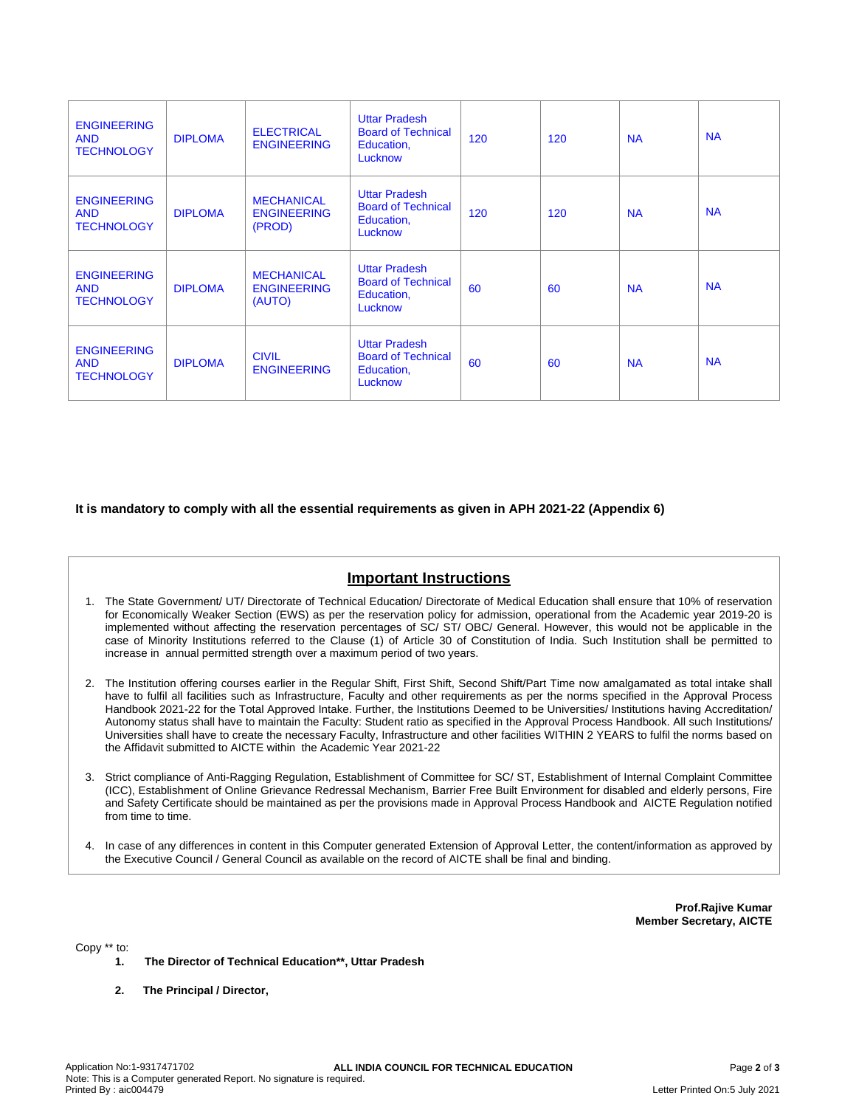| <b>ENGINEERING</b><br><b>AND</b><br><b>TECHNOLOGY</b> | <b>DIPLOMA</b> | <b>ELECTRICAL</b><br><b>ENGINEERING</b>           | <b>Uttar Pradesh</b><br><b>Board of Technical</b><br>Education,<br>Lucknow | 120 | 120 | <b>NA</b> | <b>NA</b> |
|-------------------------------------------------------|----------------|---------------------------------------------------|----------------------------------------------------------------------------|-----|-----|-----------|-----------|
| <b>ENGINEERING</b><br><b>AND</b><br><b>TECHNOLOGY</b> | <b>DIPLOMA</b> | <b>MECHANICAL</b><br><b>ENGINEERING</b><br>(PROD) | <b>Uttar Pradesh</b><br><b>Board of Technical</b><br>Education,<br>Lucknow | 120 | 120 | <b>NA</b> | <b>NA</b> |
| <b>ENGINEERING</b><br><b>AND</b><br><b>TECHNOLOGY</b> | <b>DIPLOMA</b> | <b>MECHANICAL</b><br><b>ENGINEERING</b><br>(AUTO) | <b>Uttar Pradesh</b><br><b>Board of Technical</b><br>Education,<br>Lucknow | 60  | 60  | <b>NA</b> | <b>NA</b> |
| <b>ENGINEERING</b><br><b>AND</b><br><b>TECHNOLOGY</b> | <b>DIPLOMA</b> | <b>CIVIL</b><br><b>ENGINEERING</b>                | <b>Uttar Pradesh</b><br><b>Board of Technical</b><br>Education,<br>Lucknow | 60  | 60  | <b>NA</b> | <b>NA</b> |

### **It is mandatory to comply with all the essential requirements as given in APH 2021-22 (Appendix 6)**

# **Important Instructions**

- 1. The State Government/ UT/ Directorate of Technical Education/ Directorate of Medical Education shall ensure that 10% of reservation for Economically Weaker Section (EWS) as per the reservation policy for admission, operational from the Academic year 2019-20 is implemented without affecting the reservation percentages of SC/ ST/ OBC/ General. However, this would not be applicable in the case of Minority Institutions referred to the Clause (1) of Article 30 of Constitution of India. Such Institution shall be permitted to increase in annual permitted strength over a maximum period of two years.
- 2. The Institution offering courses earlier in the Regular Shift, First Shift, Second Shift/Part Time now amalgamated as total intake shall have to fulfil all facilities such as Infrastructure, Faculty and other requirements as per the norms specified in the Approval Process Handbook 2021-22 for the Total Approved Intake. Further, the Institutions Deemed to be Universities/ Institutions having Accreditation/ Autonomy status shall have to maintain the Faculty: Student ratio as specified in the Approval Process Handbook. All such Institutions/ Universities shall have to create the necessary Faculty, Infrastructure and other facilities WITHIN 2 YEARS to fulfil the norms based on the Affidavit submitted to AICTE within the Academic Year 2021-22
- 3. Strict compliance of Anti-Ragging Regulation, Establishment of Committee for SC/ ST, Establishment of Internal Complaint Committee (ICC), Establishment of Online Grievance Redressal Mechanism, Barrier Free Built Environment for disabled and elderly persons, Fire and Safety Certificate should be maintained as per the provisions made in Approval Process Handbook and AICTE Regulation notified from time to time.
- 4. In case of any differences in content in this Computer generated Extension of Approval Letter, the content/information as approved by the Executive Council / General Council as available on the record of AICTE shall be final and binding.

**Prof.Rajive Kumar Member Secretary, AICTE**

Copy \*\* to:

- **1. The Director of Technical Education\*\*, Uttar Pradesh**
- **2. The Principal / Director,**